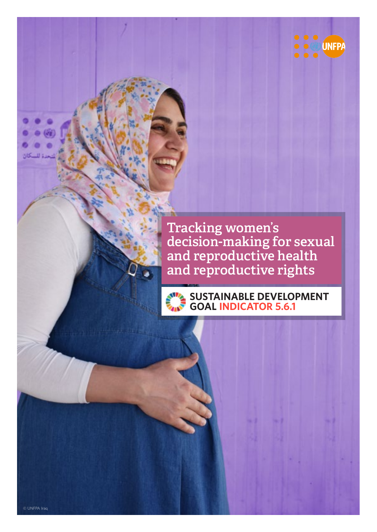

Tracking women's decision-making for sexual and reproductive health and reproductive rights

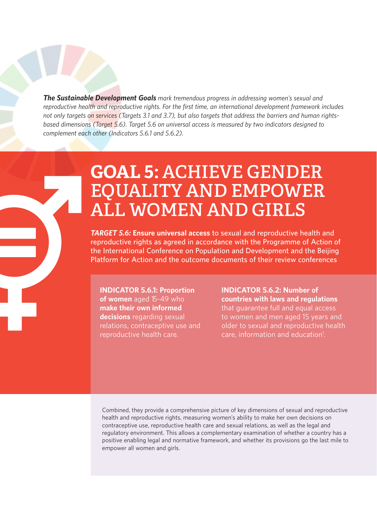*The Sustainable Development Goals mark tremendous progress in addressing women's sexual and reproductive health and reproductive rights. For the first time, an international development framework includes not only targets on services (Targets 3.1 and 3.7), but also targets that address the barriers and human rightsbased dimensions (Target 5.6). Target 5.6 on universal access is measured by two indicators designed to complement each other (Indicators 5.6.1 and 5.6.2).* 

# **GOAL 5:** ACHIEVE GENDER EQUALITY AND EMPOWER ALL WOMEN AND GIRLS

*TARGET 5.6:* **Ensure universal access to sexual and reproductive health and reproductive rights as agreed in accordance with the Programme of Action of the International Conference on Population and Development and the Beijing Platform for Action and the outcome documents of their review conferences**

# **INDICATOR 5.6.1: Proportion**

**of women** aged 15-49 who **make their own informed decisions** regarding sexual relations, contraceptive use and reproductive health care.

**INDICATOR 5.6.2: Number of countries with laws and regulations**  that guarantee full and equal access to women and men aged 15 years and older to sexual and reproductive health care, information and education<sup>1</sup>.

Combined, they provide a comprehensive picture of key dimensions of sexual and reproductive health and reproductive rights, measuring women's ability to make her own decisions on contraceptive use, reproductive health care and sexual relations, as well as the legal and regulatory environment. This allows a complementary examination of whether a country has a positive enabling legal and normative framework, and whether its provisions go the last mile to empower all women and girls.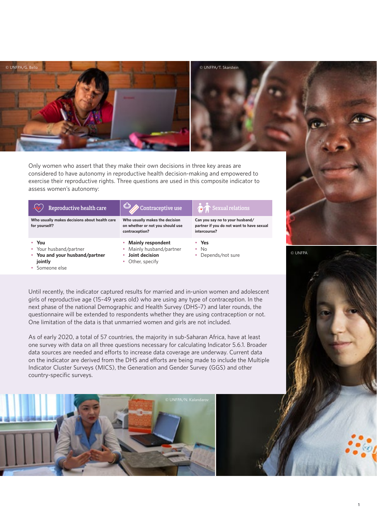

Only women who assert that they make their own decisions in three key areas are considered to have autonomy in reproductive health decision-making and empowered to exercise their reproductive rights. Three questions are used in this composite indicator to assess women's autonomy:

# Reproductive health care  $\Box$  Contraceptive use  $\Box$  Sexual relations

**Who usually makes decisions about health care for yourself?**

- **You**
- Your husband/partner • **You and your husband/partner**
- **jointly**  • Someone else

**Who usually makes the decision on whether or not you should use contraception?**

- **Mainly respondent**
- Mainly husband/partner
- **Joint decision**
- Other, specify

**Can you say no to your husband/ partner if you do not want to have sexual intercourse?** 

- **Yes**
- No
- Depends/not sure



© UNFPA



**1**

Until recently, the indicator captured results for married and in-union women and adolescent girls of reproductive age (15–49 years old) who are using any type of contraception. In the next phase of the national Demographic and Health Survey (DHS–7) and later rounds, the questionnaire will be extended to respondents whether they are using contraception or not. One limitation of the data is that unmarried women and girls are not included.

As of early 2020, a total of 57 countries, the majority in sub-Saharan Africa, have at least one survey with data on all three questions necessary for calculating Indicator 5.6.1. Broader data sources are needed and efforts to increase data coverage are underway. Current data on the indicator are derived from the DHS and efforts are being made to include the Multiple Indicator Cluster Surveys (MICS), the Generation and Gender Survey (GGS) and other country-specific surveys.

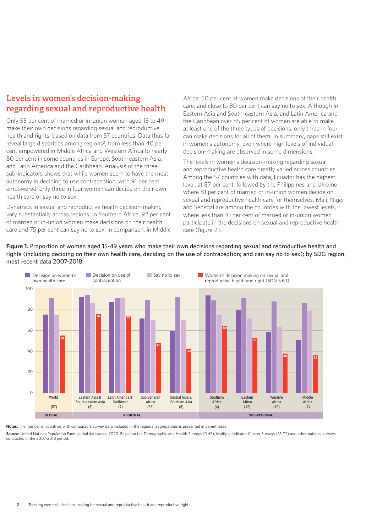# Levels in women's decision-making regarding sexual and reproductive health

Only 55 per cent of married or in-union women aged 15 to 49 make their own decisions regarding sexual and reproductive health and rights, based on data from 57 countries. Data thus far reveal large disparities among regions<sup>2</sup>, from less than 40 per cent empowered in Middle Africa and Western Africa to nearly 80 per cent in some countries in Europe, South-eastern Asia, and Latin America and the Caribbean. Analysis of the three sub-indicators shows that while women seem to have the most autonomy in deciding to use contraception, with 91 per cent empowered, only three in four women can decide on their own health care or say no to sex.

Dynamics in sexual and reproductive health decision-making vary substantially across regions. In Southern Africa, 92 per cent of married or in-union women make decisions on their health care and 75 per cent can say no to sex. In comparison, in Middle Africa, 50 per cent of women make decisions of their health care, and close to 80 per cent can say no to sex. Although In Eastern Asia and South-eastern Asia, and Latin America and the Caribbean over 85 per cent of women are able to make at least one of the three types of decisions, only three in four can make decisions for all of them. In summary, gaps still exist in women's autonomy, even where high levels of individual decision-making are observed in some dimensions.

The levels in women's decision-making regarding sexual and reproductive health care greatly varied across countries. Among the 57 countries with data, Ecuador has the highest level, at 87 per cent, followed by the Philippines and Ukraine where 81 per cent of married or in-union women decide on sexual and reproductive health care for themselves. Mali, Niger and Senegal are among the countries with the lowest levels, where less than 10 per cent of married or in-union women participate in the decisions on sexual and reproductive health care (figure 2).

**Figure 1. Proportion of women aged 15-49 years who make their own decisions regarding sexual and reproductive health and rights (including deciding on their own health care, deciding on the use of contraception; and can say no to sex); by SDG region, most recent data 2007-2018.** 



**Notes:** The number of countries with comparable survey data included in the regional aggregations is presented in parentheses.

Source: United Nations Population Fund, global databases, 2020. Based on the Demographic and Health Surveys (DHS), Multiple Indicator Cluster Surveys (MICS) and other national surveys conducted in the 2007-2018 period.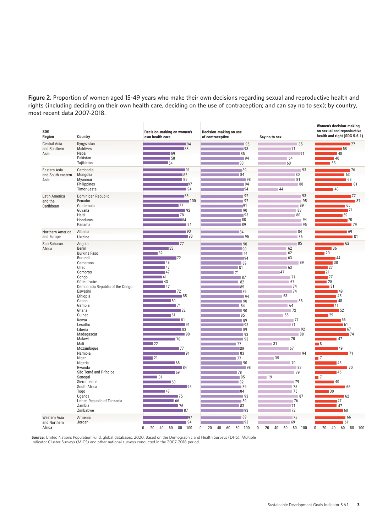**Figure 2. Proportion of women aged 15-49 years who make their own decisions regarding sexual and reproductive health and rights (including deciding on their own health care, deciding on the use of contraception; and can say no to sex); by country, most recent data 2007-2018.** 

| <b>SDG</b><br>Region                        | Country                                                                                                                                                                                                                                                                                                                                                                                                                                                                       | Decision-making on women's<br>own health care                                                                                                                                                                                                                                                                                                                                                                                                                                                                                                                                                                                                                                             | Decision-making on use<br>of contraceptive                                                                                                                                                                                                                                                                                                                 | Say no to sex                                                                                                                                                                                                               | <b>Women's decision-making</b><br>on sexual and reproductive<br>health and right (SDG 5.6.1)                                                                                                                                                                                                                                                                                                                                                                                                                                                                                                                                                                                 |
|---------------------------------------------|-------------------------------------------------------------------------------------------------------------------------------------------------------------------------------------------------------------------------------------------------------------------------------------------------------------------------------------------------------------------------------------------------------------------------------------------------------------------------------|-------------------------------------------------------------------------------------------------------------------------------------------------------------------------------------------------------------------------------------------------------------------------------------------------------------------------------------------------------------------------------------------------------------------------------------------------------------------------------------------------------------------------------------------------------------------------------------------------------------------------------------------------------------------------------------------|------------------------------------------------------------------------------------------------------------------------------------------------------------------------------------------------------------------------------------------------------------------------------------------------------------------------------------------------------------|-----------------------------------------------------------------------------------------------------------------------------------------------------------------------------------------------------------------------------|------------------------------------------------------------------------------------------------------------------------------------------------------------------------------------------------------------------------------------------------------------------------------------------------------------------------------------------------------------------------------------------------------------------------------------------------------------------------------------------------------------------------------------------------------------------------------------------------------------------------------------------------------------------------------|
| <b>Central Asia</b><br>and Southern<br>Asia | Kyrgyzstan<br>Maldives<br>Nepal<br>Pakistan<br>Tajikistan                                                                                                                                                                                                                                                                                                                                                                                                                     | $\overline{94}$<br>$\blacksquare$ 88<br><b>59</b><br>$\overline{58}$<br>$\blacksquare$ 54                                                                                                                                                                                                                                                                                                                                                                                                                                                                                                                                                                                                 | $\sqrt{95}$<br>$-93$<br>85<br> 94<br>83                                                                                                                                                                                                                                                                                                                    | 85<br>71<br>91<br>64<br>60                                                                                                                                                                                                  | $\blacksquare$<br>$\overline{58}$<br>■48<br>$\blacksquare$ 40<br>$\blacksquare$ 33                                                                                                                                                                                                                                                                                                                                                                                                                                                                                                                                                                                           |
| Eastern Asia<br>and South-eastern<br>Asia   | Cambodia<br>Mongolia<br>Myanmar<br>Philippines<br>Timor-Leste                                                                                                                                                                                                                                                                                                                                                                                                                 | 191<br>85<br>85<br>$\overline{197}$<br>$\Box$ 94                                                                                                                                                                                                                                                                                                                                                                                                                                                                                                                                                                                                                                          | 89 <br> 84<br>$-98$<br>94<br>94                                                                                                                                                                                                                                                                                                                            | $-93$<br>80<br>81<br>88<br> 44                                                                                                                                                                                              | 176<br>63<br>$\blacksquare$ 68<br>$\blacksquare$ 81<br>$\blacksquare$ 40                                                                                                                                                                                                                                                                                                                                                                                                                                                                                                                                                                                                     |
| Latin America<br>and the<br>Caribbean       | Dominican Republic<br>Ecuador<br>Guatemala<br>Guyana<br>Haiti<br>Honduras<br>Panama                                                                                                                                                                                                                                                                                                                                                                                           | 88 <br>$\blacksquare$ 100<br>177<br>$\overline{\phantom{0}}$ 92<br>178<br>$\overline{84}$<br>$\sqrt{94}$                                                                                                                                                                                                                                                                                                                                                                                                                                                                                                                                                                                  | 92<br>92<br> 91<br> 90 <br>$-93$<br>88<br>89                                                                                                                                                                                                                                                                                                               | 93<br>95<br>89<br>83<br>80<br>94<br>95                                                                                                                                                                                      | $\blacksquare$<br>$\blacksquare$ 87<br>65<br>$\blacksquare$ 71<br>59<br>70<br>179                                                                                                                                                                                                                                                                                                                                                                                                                                                                                                                                                                                            |
| Northern America<br>and Europe              | Albania<br>Ukraine                                                                                                                                                                                                                                                                                                                                                                                                                                                            | $\blacksquare$ 93<br>$\overline{1}98$                                                                                                                                                                                                                                                                                                                                                                                                                                                                                                                                                                                                                                                     | 84<br>$-95$                                                                                                                                                                                                                                                                                                                                                | 84<br>86                                                                                                                                                                                                                    | 169<br> 81                                                                                                                                                                                                                                                                                                                                                                                                                                                                                                                                                                                                                                                                   |
| Sub-Saharan<br>Africa                       | Angola<br>Benin<br><b>Burkina Faso</b><br>Burundi<br>Cameroon<br>Chad<br>Comoros<br>Congo<br>Côte d'Ivoire<br>Democratic Republic of the Congo<br>Eswatini<br>Ethiopia<br>Gabon<br>Gambia<br>Ghana<br>Guinea<br>Kenya<br>Lesotho<br>Liberia<br>Madagascar<br>Malawi<br>Mali<br>Mozambique<br>Namibia<br>Niger<br>Nigeria<br>Rwanda<br>São Tomé and Príncipe<br>Senegal<br>Sierra Leone<br>South Africa<br>Togo<br>Uganda<br>United Republic of Tanzania<br>Zambia<br>Zimbabwe | $\blacksquare$ 77<br>$\blacksquare$ 55<br>132<br>$\blacksquare$ 72<br>$\blacksquare$ 48<br>$\blacksquare$ 47<br>$\blacksquare$ 47<br>41<br>$\blacksquare$ 43<br>$\blacksquare$ 47<br>$\blacksquare$ 72<br>$\blacksquare$ 85<br>$\blacksquare$ 60<br>$\blacksquare$ 71<br>$\overline{\phantom{0}}$ 82<br>$\overline{61}$<br> 81<br>$\overline{191}$<br>$\blacksquare$ 83<br>$\blacksquare$ 90<br>170<br>$\blacksquare$ 22<br>$\overline{17}$<br>$\blacksquare$ 91<br>$\overline{21}$<br>168<br>$\blacksquare$ 84<br>$\overline{169}$<br>$\blacksquare$ 31<br>$\blacksquare$ 60<br>$\overline{95}$<br>$\blacksquare$ 47<br>$\overline{75}$<br>$\blacksquare$ 66<br>176<br>$\blacksquare$ 87 | 90 <br>$\blacksquare$ 90<br>91<br>94<br>$\blacksquare$ 89<br>$-81$<br>71<br> 87<br>82<br>85<br>89<br>$-94$<br> 90<br>84<br>$-90$<br>85<br>89<br>$-93$<br> 89<br>93<br>$\overline{\phantom{0}}$ 93<br>177<br>$-85$<br>83<br>177<br>$\overline{\phantom{0}}$ 90<br>$-98$<br>78<br> 85<br>82<br>$\overline{89}$<br>$\sqrt{84}$<br>$-93$<br> 89<br>83<br>$-93$ | 85<br>62<br>62<br>63<br>89<br>$-63$<br>47<br>$-71$<br>67<br>74<br>74<br>53<br>86<br>64<br>72<br>55<br>77<br>71<br>92<br> 88<br>70<br>31<br>67<br>94<br>35<br>70<br>83<br>79<br>19<br>79<br>75<br>75<br>87<br>76<br>71<br>72 | $\sqrt{62}$<br>$\blacksquare$ 36<br>$\blacksquare$ 20<br>$\blacksquare$ 44<br>$\blacksquare$ 38<br>$\blacksquare$ 27<br>$\blacksquare$<br>$\blacksquare$ 27<br>$\blacksquare$ 25<br>$\blacksquare$ 31<br>49<br>$\blacksquare$ 45<br>$\blacksquare$ 48<br>$\blacksquare$ 41<br>$\blacksquare$ 52<br>$\blacksquare$ 29<br>156<br>$\sqrt{61}$<br>$\blacksquare$ 67<br>$\blacksquare$ 74<br>147<br>$\overline{\phantom{0}}$ 8<br>$\blacksquare$ 49<br>171<br>$\overline{\phantom{0}}$ 7<br>■46<br>170<br>$\blacksquare$ 46<br>$\blacksquare$<br>$\blacksquare$ 40<br>$\blacksquare$ 65<br>30<br>$\blacksquare$ 62<br>$\blacksquare$ 47<br>$\blacksquare$ 47<br>$\blacksquare$ 60 |
| Western Asia<br>and Northern<br>Africa      | Armenia<br>Jordan                                                                                                                                                                                                                                                                                                                                                                                                                                                             | $\blacksquare$ 97<br>$\blacksquare$ 94<br>$\mathbf 0$<br>20<br>40<br>60<br>80<br>100                                                                                                                                                                                                                                                                                                                                                                                                                                                                                                                                                                                                      | 89<br>$-93$<br>$\mathbf 0$<br>20<br>100<br>40<br>60<br>80                                                                                                                                                                                                                                                                                                  | 75<br>69<br>20<br>60<br>80 100<br>$\mathbf 0$<br>40                                                                                                                                                                         | 66<br>$\blacksquare$ 61<br>60<br>$\mathbf 0$<br>20<br>40<br>80<br>100                                                                                                                                                                                                                                                                                                                                                                                                                                                                                                                                                                                                        |

**Source:** United Nations Population Fund, global databases, 2020. Based on the Demographic and Health Surveys (DHS), Multiple<br>Indicator Cluster Surveys (MICS) and other national surveys conducted in the 2007-2018 period.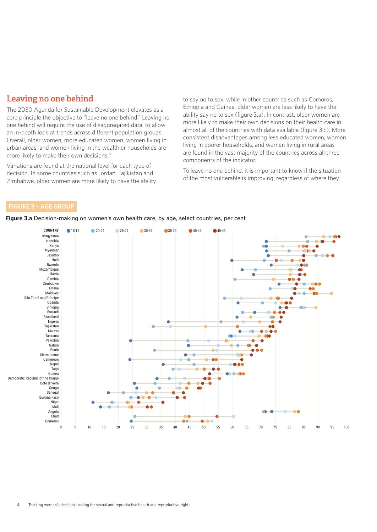# Leaving no one behind

The 2030 Agenda for Sustainable Development elevates as a core principle the objective to "leave no one behind." Leaving no one behind will require the use of disaggregated data, to allow an in-depth look at trends across different population groups. Overall, older women, more educated women, women living in urban areas, and women living in the wealthier households are more likely to make their own decisions.3

Variations are found at the national level for each type of decision. In some countries such as Jordan, Tajikistan and Zimbabwe, older women are more likely to have the ability

to say no to sex; while in other countries such as Comoros, Ethiopia and Guinea, older women are less likely to have the ability say no to sex (figure 3.a). In contrast, older women are more likely to make their own decisions on their health care in almost all of the countries with data available (figure 3.c). More consistent disadvantages among less educated women, women living in poorer households, and women living in rural areas are found in the vast majority of the countries across all three components of the indicator.

To leave no one behind, it is important to know if the situation of the most vulnerable is improving, regardless of where they

## **FIGURE 3 – AGE GROUP**

0 5 10 15 20 25 30 35 40 45 50 55 60 65 70 75 80 85 90 95 100 Kyrgyzstan Namibia Kenya Myanmar Lesotho Haiti Rwanda ozambique Liberia Gambia Zimbabwe Ghana Maldives São Tomé and Príncipe Uganda Ethiopia Burundi Swaziland Nigeria Tajikistan Malawi Tanzania Pakistan Gabon Benin Sierra Leone Cameroon Nepal Togo Guinea Democratic Republic of the Congo Côte d'Ivoire Congo Senegal Burkina Faso Niger Mali Angola Chad Comoros **COUNTRY** 15-19 20-24 25-29 30-34 35-39 40-44 45-49

**Figure 3.a Decision-making on women's own health care, by age, select countries, per cent**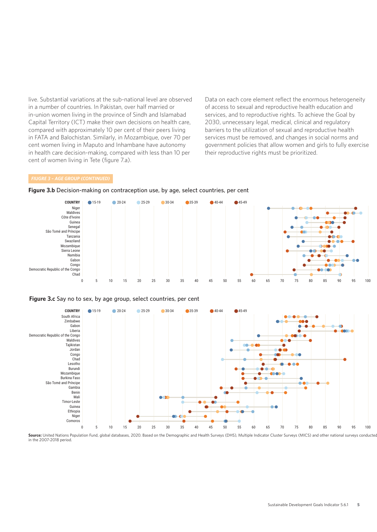live. Substantial variations at the sub-national level are observed in a number of countries. In Pakistan, over half married or in-union women living in the province of Sindh and Islamabad Capital Territory (ICT) make their own decisions on health care, compared with approximately 10 per cent of their peers living in FATA and Balochistan. Similarly, in Mozambique, over 70 per cent women living in Maputo and Inhambane have autonomy in health care decision-making, compared with less than 10 per cent of women living in Tete (figure 7.a).

Data on each core element reflect the enormous heterogeneity of access to sexual and reproductive health education and services, and to reproductive rights. To achieve the Goal by 2030, unnecessary legal, medical, clinical and regulatory barriers to the utilization of sexual and reproductive health services must be removed, and changes in social norms and government policies that allow women and girls to fully exercise their reproductive rights must be prioritized.





#### **Figure 3.c Say no to sex, by age group, select countries, per cent**



Source: United Nations Population Fund, global databases, 2020. Based on the Demographic and Health Surveys (DHS), Multiple Indicator Cluster Surveys (MICS) and other national surveys conducted in the 2007-2018 period.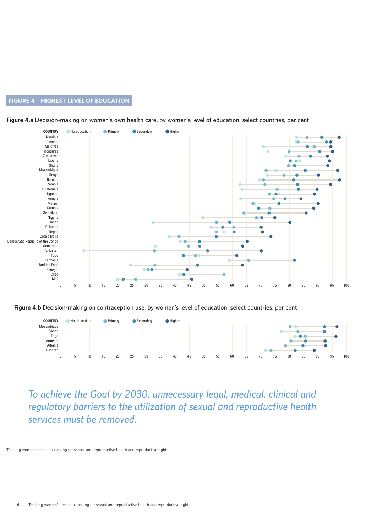# **FIGURE 4 – HIGHEST LEVEL OF EDUCATION**



**Figure 4.a Decision-making on women's own health care, by women's level of education, select countries, per cent**

**Figure 4.b Decision-making on contraception use, by women's level of education, select countries, per cent**



*To achieve the Goal by 2030, unnecessary legal, medical, clinical and regulatory barriers to the utilization of sexual and reproductive health services must be removed.*

**6** Tracking women's decision-making for sexual and reproductive health and reproductive rights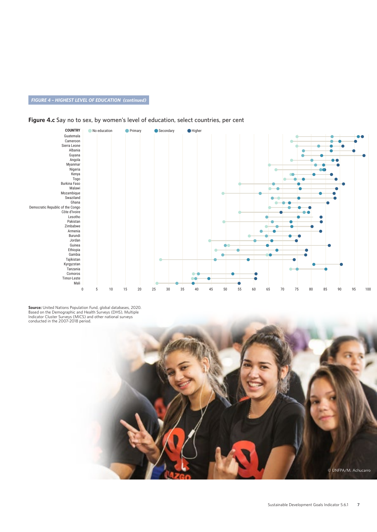# *FIGURE 4 – HIGHEST LEVEL OF EDUCATION (continued)*

### **Figure 4.c Say no to sex, by women's level of education, select countries, per cent**



**Source:** United Nations Population Fund, global databases, 2020.<br>Based on the Demographic and Health Surveys (DHS), Multiple<br>Indicator Cluster Surveys (MICS) and other national surveys<br>conducted in the 2007-2018 period.

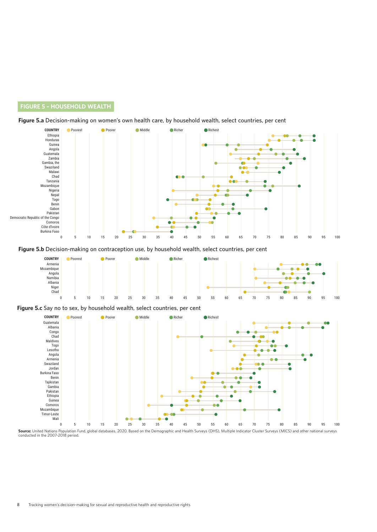# **FIGURE 5 – HOUSEHOLD WEALTH**





**Figure 5.b Decision-making on contraception use, by household wealth, select countries, per cent** 



#### **Figure 5.c Say no to sex, by household wealth, select countries, per cent**



**Source:** United Nations Population Fund, global databases, 2020. Based on the Demographic and Health Surveys (DHS), Multiple Indicator Cluster Surveys (MICS) and other national surveys<br>conducted in the 2007-2018 period.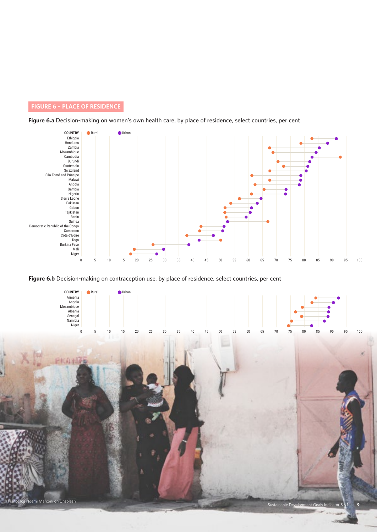# **FIGURE 6 – PLACE OF RESIDENCE**





## **Figure 6.b Decision-making on contraception use, by place of residence, select countries, per cent**

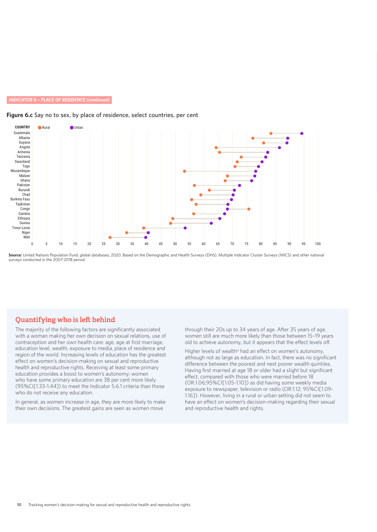#### *INDICATOR 6 – PLACE OF RESIDENCE (continued)*

### **Figure 6.c Say no to sex, by place of residence, select countries, per cent**



**Source:** United Nations Population Fund, global databases, 2020. Based on the Demographic and Health Surveys (DHS), Multiple Indicator Cluster Surveys (MICS) and other national surveys conducted in the 2007-2018 period.

# Quantifying who is left behind

The majority of the following factors are significantly associated with a woman making her own decision on sexual relations, use of contraception and her own health care: age, age at first marriage, education level, wealth, exposure to media, place of residence and region of the world. Increasing levels of education has the greatest effect on women's decision-making on sexual and reproductive health and reproductive rights. Receiving at least some primary education provides a boost to women's autonomy; women who have some primary education are 38 per cent more likely (95%CI[1.33-1.44]) to meet the Indicator 5.6.1 criteria than those who do not receive any education.

In general, as women increase in age, they are more likely to make their own decisions. The greatest gains are seen as women move

through their 20s up to 34 years of age. After 35 years of age, women still are much more likely than those between 15–19 years old to achieve autonomy, but it appears that the effect levels off.

Higher levels of wealth<sup>4</sup> had an effect on women's autonomy, although not as large as education. In fact, there was no significant difference between the poorest and next poorer wealth quintiles. Having first married at age 18 or older had a slight but significant effect, compared with those who were married before 18 (OR:1.06;95%CI[1.05-1.10]) as did having some weekly media exposure to newspaper, television or radio (OR:1.12; 95%CI[1.09- 1.16]). However, living in a rural or urban setting did not seem to have an effect on women's decision-making regarding their sexual and reproductive health and rights.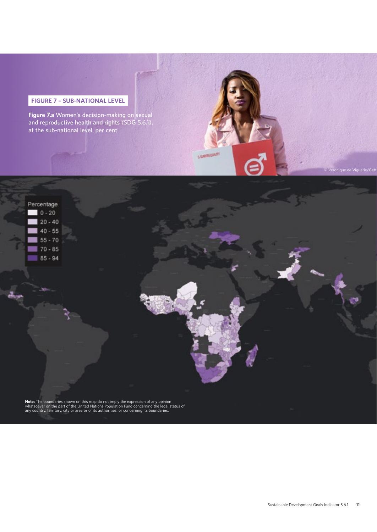# **FIGURE 7 – SUB-NATIONAL LEVEL**

**Figure 7.a Women's decision-making on sexual and reproductive health and rights (SDG 5.6.1), at the sub-national level, per cent**

5 SURFRIGHTH

**Note:** The boundaries shown on this map do not imply the expression of any opinion<br>whatsoever on the part of the United Nations Population Fund concerning the legal status of<br>any country, territory, city or area or of its

© Veronique de Viguerie/Gett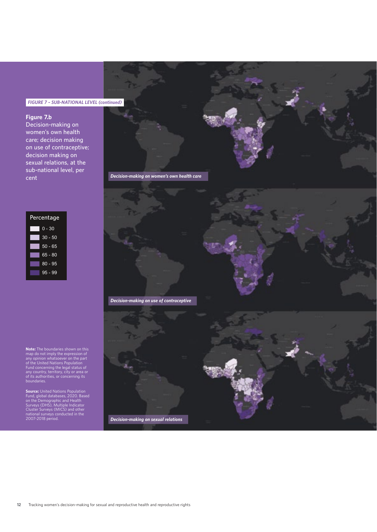# *FIGURE 7 – SUB-NATIONAL LEVEL (continued)*

### **Figure 7.b**

**Decision-making on women's own health care; decision making on use of contraceptive; decision making on sexual relations, at the sub-national level, per cent**



**Note:** The boundaries shown on this<br>map do not imply the expression of<br>any opinion whatsoever on the part<br>of the United Nations Population<br>Fund concerning the legal status of<br>any country, territory, city or area or<br>of its

**Source:** United Nations Population<br>Fund, global databases, 2020. Based<br>on the Demographic and Health<br>Surveys (DHS), Multiple Indicator<br>Cluster Surveys (MICS) and other<br>national surveys conducted in the<br>2007-2018 period.

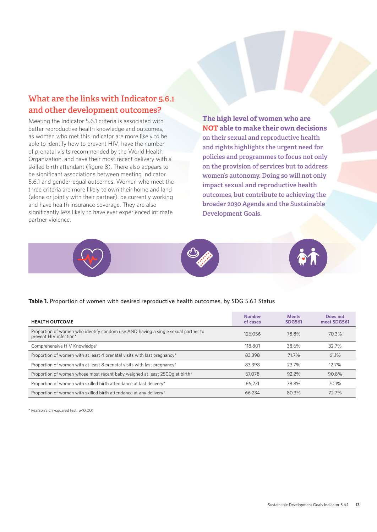# What are the links with Indicator 5.6.1 and other development outcomes?

Meeting the Indicator 5.6.1 criteria is associated with better reproductive health knowledge and outcomes. as women who met this indicator are more likely to be able to identify how to prevent HIV, have the number of prenatal visits recommended by the World Health Organization, and have their most recent delivery with a skilled birth attendant (figure 8). There also appears to be significant associations between meeting Indicator 5.6.1 and gender-equal outcomes. Women who meet the three criteria are more likely to own their home and land (alone or jointly with their partner), be currently working and have health insurance coverage. They are also significantly less likely to have ever experienced intimate partner violence.

**The high level of women who are NOT able to make their own decisions** on their sexual and reproductive health and rights highlights the urgent need for policies and programmes to focus not only on the provision of services but to address women's autonomy. Doing so will not only impact sexual and reproductive health outcomes, but contribute to achieving the broader 2030 Agenda and the Sustainable Development Goals.



### **Table 1. Proportion of women with desired reproductive health outcomes, by SDG 5.6.1 Status**

| <b>HEALTH OUTCOME</b>                                                                                       | <b>Number</b><br>of cases | <b>Meets</b><br><b>SDG561</b> | Does not<br>meet SDG561 |
|-------------------------------------------------------------------------------------------------------------|---------------------------|-------------------------------|-------------------------|
| Proportion of women who identify condom use AND having a single sexual partner to<br>prevent HIV infection* | 126.056                   | 78.8%                         | 70.3%                   |
| Comprehensive HIV Knowledge*                                                                                | 118.801                   | 38.6%                         | 32.7%                   |
| Proportion of women with at least 4 prenatal visits with last pregnancy*                                    | 83.398                    | 71.7%                         | 61.1%                   |
| Proportion of women with at least 8 prenatal visits with last pregnancy*                                    | 83.398                    | 23.7%                         | 12.7%                   |
| Proportion of women whose most recent baby weighed at least 2500g at birth*                                 | 67.078                    | 92.2%                         | 90.8%                   |
| Proportion of women with skilled birth attendance at last delivery*                                         | 66.231                    | 78.8%                         | 70.1%                   |
| Proportion of women with skilled birth attendance at any delivery*                                          | 66.234                    | 80.3%                         | 72.7%                   |

\* Pearson's chi-squared test, p<0.001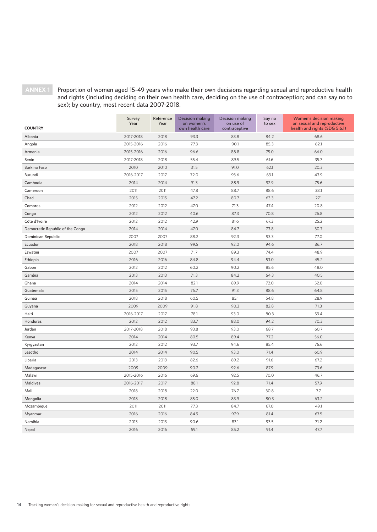**ANNEX 1 Proportion of women aged 15-49 years who make their own decisions regarding sexual and reproductive health and rights (including deciding on their own health care, deciding on the use of contraception; and can say no to sex); by country, most recent data 2007-2018.** 

| <b>COUNTRY</b>                   | Survey<br>Year | Reference<br>Year | <b>Decision making</b><br>on women's<br>own health care | Decision making<br>on use of<br>contraceptive | Say no<br>to sex | Women's decision making<br>on sexual and reproductive<br>health and rights (SDG 5.6.1) |
|----------------------------------|----------------|-------------------|---------------------------------------------------------|-----------------------------------------------|------------------|----------------------------------------------------------------------------------------|
| Albania                          | 2017-2018      | 2018              | 93.3                                                    | 83.8                                          | 84.2             | 68.6                                                                                   |
| Angola                           | 2015-2016      | 2016              | 77.3                                                    | 90.1                                          | 85.3             | 62.1                                                                                   |
| Armenia                          | 2015-2016      | 2016              | 96.6                                                    | 88.8                                          | 75.0             | 66.0                                                                                   |
| Benin                            | 2017-2018      | 2018              | 55.4                                                    | 89.5                                          | 61.6             | 35.7                                                                                   |
| <b>Burkina Faso</b>              | 2010           | 2010              | 31.5                                                    | 91.0                                          | 62.1             | 20.3                                                                                   |
| Burundi                          | 2016-2017      | 2017              | 72.0                                                    | 93.6                                          | 63.1             | 43.9                                                                                   |
| Cambodia                         | 2014           | 2014              | 91.3                                                    | 88.9                                          | 92.9             | 75.6                                                                                   |
| Cameroon                         | 2011           | 2011              | 47.8                                                    | 88.7                                          | 88.6             | 38.1                                                                                   |
| Chad                             | 2015           | 2015              | 47.2                                                    | 80.7                                          | 63.3             | 27.1                                                                                   |
| Comoros                          | 2012           | 2012              | 47.0                                                    | 71.3                                          | 47.4             | 20.8                                                                                   |
| Congo                            | 2012           | 2012              | 40.6                                                    | 87.3                                          | 70.8             | 26.8                                                                                   |
| Côte d'Ivoire                    | 2012           | 2012              | 42.9                                                    | 81.6                                          | 67.3             | 25.2                                                                                   |
| Democratic Republic of the Congo | 2014           | 2014              | 47.0                                                    | 84.7                                          | 73.8             | 30.7                                                                                   |
| Dominican Republic               | 2007           | 2007              | 88.2                                                    | 92.3                                          | 93.3             | 77.0                                                                                   |
| Ecuador                          | 2018           | 2018              | 99.5                                                    | 92.0                                          | 94.6             | 86.7                                                                                   |
| Eswatini                         | 2007           | 2007              | 71.7                                                    | 89.3                                          | 74.4             | 48.9                                                                                   |
| Ethiopia                         | 2016           | 2016              | 84.8                                                    | 94.4                                          | 53.0             | 45.2                                                                                   |
| Gabon                            | 2012           | 2012              | 60.2                                                    | 90.2                                          | 85.6             | 48.0                                                                                   |
| Gambia                           | 2013           | 2013              | 71.3                                                    | 84.2                                          | 64.3             | 40.5                                                                                   |
| Ghana                            | 2014           | 2014              | 82.1                                                    | 89.9                                          | 72.0             | 52.0                                                                                   |
| Guatemala                        | 2015           | 2015              | 76.7                                                    | 91.3                                          | 88.6             | 64.8                                                                                   |
| Guinea                           | 2018           | 2018              | 60.5                                                    | 85.1                                          | 54.8             | 28.9                                                                                   |
| Guyana                           | 2009           | 2009              | 91.8                                                    | 90.3                                          | 82.8             | 71.3                                                                                   |
| Haiti                            | 2016-2017      | 2017              | 78.1                                                    | 93.0                                          | 80.3             | 59.4                                                                                   |
| Honduras                         | 2012           | 2012              | 83.7                                                    | 88.0                                          | 94.2             | 70.3                                                                                   |
| Jordan                           | 2017-2018      | 2018              | 93.8                                                    | 93.0                                          | 68.7             | 60.7                                                                                   |
| Kenya                            | 2014           | 2014              | 80.5                                                    | 89.4                                          | 77.2             | 56.0                                                                                   |
| Kyrgyzstan                       | 2012           | 2012              | 93.7                                                    | 94.6                                          | 85.4             | 76.6                                                                                   |
| Lesotho                          | 2014           | 2014              | 90.5                                                    | 93.0                                          | 71.4             | 60.9                                                                                   |
| Liberia                          | 2013           | 2013              | 82.6                                                    | 89.2                                          | 91.6             | 67.2                                                                                   |
| Madagascar                       | 2009           | 2009              | 90.2                                                    | 92.6                                          | 87.9             | 73.6                                                                                   |
| Malawi                           | 2015-2016      | 2016              | 69.6                                                    | 92.5                                          | 70.0             | 46.7                                                                                   |
| Maldives                         | 2016-2017      | 2017              | 88.1                                                    | 92.8                                          | 71.4             | 57.9                                                                                   |
| Mali                             | 2018           | 2018              | 22.0                                                    | 76.7                                          | 30.8             | 7.7                                                                                    |
| Mongolia                         | 2018           | 2018              | 85.0                                                    | 83.9                                          | 80.3             | 63.2                                                                                   |
| Mozambique                       | 2011           | 2011              | 77.3                                                    | 84.7                                          | 67.0             | 49.1                                                                                   |
| Myanmar                          | 2016           | 2016              | 84.9                                                    | 97.9                                          | 81.4             | 67.5                                                                                   |
| Namibia                          | 2013           | 2013              | 90.6                                                    | 83.1                                          | 93.5             | 71.2                                                                                   |
| Nepal                            | 2016           | 2016              | 59.1                                                    | 85.2                                          | 91.4             | 47.7                                                                                   |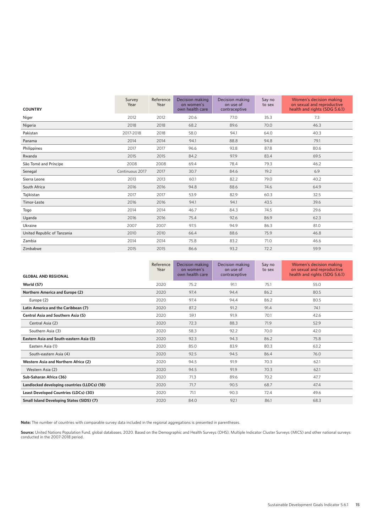| <b>COUNTRY</b>              | Survey<br>Year  | Reference<br>Year | Decision making<br>on women's<br>own health care | Decision making<br>on use of<br>contraceptive | Say no<br>to sex | Women's decision making<br>on sexual and reproductive<br>health and rights (SDG 5.6.1) |
|-----------------------------|-----------------|-------------------|--------------------------------------------------|-----------------------------------------------|------------------|----------------------------------------------------------------------------------------|
| Niger                       | 2012            | 2012              | 20.6                                             | 77.0                                          | 35.3             | 7.3                                                                                    |
| Nigeria                     | 2018            | 2018              | 68.2                                             | 89.6                                          | 70.0             | 46.3                                                                                   |
| Pakistan                    | 2017-2018       | 2018              | 58.0                                             | 94.1                                          | 64.0             | 40.3                                                                                   |
| Panama                      | 2014            | 2014              | 94.1                                             | 88.8                                          | 94.8             | 79.1                                                                                   |
| Philippines                 | 2017            | 2017              | 96.6                                             | 93.8                                          | 87.8             | 80.6                                                                                   |
| Rwanda                      | 2015            | 2015              | 84.2                                             | 97.9                                          | 83.4             | 69.5                                                                                   |
| São Tomé and Príncipe       | 2008            | 2008              | 69.4                                             | 78.4                                          | 79.3             | 46.2                                                                                   |
| Senegal                     | Continuous 2017 | 2017              | 30.7                                             | 84.6                                          | 19.2             | 6.9                                                                                    |
| Sierra Leone                | 2013            | 2013              | 60.1                                             | 82.2                                          | 79.0             | 40.2                                                                                   |
| South Africa                | 2016            | 2016              | 94.8                                             | 88.6                                          | 74.6             | 64.9                                                                                   |
| Tajikistan                  | 2017            | 2017              | 53.9                                             | 82.9                                          | 60.3             | 32.5                                                                                   |
| Timor-Leste                 | 2016            | 2016              | 94.1                                             | 94.1                                          | 43.5             | 39.6                                                                                   |
| Togo                        | 2014            | 2014              | 46.7                                             | 84.3                                          | 74.5             | 29.6                                                                                   |
| Uganda                      | 2016            | 2016              | 75.4                                             | 92.6                                          | 86.9             | 62.3                                                                                   |
| Ukraine                     | 2007            | 2007              | 97.5                                             | 94.9                                          | 86.3             | 81.0                                                                                   |
| United Republic of Tanzania | 2010            | 2010              | 66.4                                             | 88.6                                          | 75.9             | 46.8                                                                                   |
| Zambia                      | 2014            | 2014              | 75.8                                             | 83.2                                          | 71.0             | 46.6                                                                                   |
| Zimbabwe                    | 2015            | 2015              | 86.6                                             | 93.2                                          | 72.2             | 59.9                                                                                   |

|                                              | Reference<br>Year | Decision making<br>on women's | Decision making<br>on use of | Say no<br>to sex | Women's decision making<br>on sexual and reproductive |
|----------------------------------------------|-------------------|-------------------------------|------------------------------|------------------|-------------------------------------------------------|
| <b>GLOBAL AND REGIONAL</b>                   |                   | own health care               | contraceptive                |                  | health and rights (SDG 5.6.1)                         |
| <b>World (57)</b>                            | 2020              | 75.2                          | 91.1                         | 75.1             | 55.0                                                  |
| <b>Northern America and Europe (2)</b>       | 2020              | 97.4                          | 94.4                         | 86.2             | 80.5                                                  |
| Europe (2)                                   | 2020              | 97.4                          | 94.4                         | 86.2             | 80.5                                                  |
| Latin America and the Caribbean (7)          | 2020              | 87.2                          | 91.2                         | 91.4             | 74.1                                                  |
| <b>Central Asia and Southern Asia (5)</b>    | 2020              | 59.1                          | 91.9                         | 70.1             | 42.6                                                  |
| Central Asia (2)                             | 2020              | 72.3                          | 88.3                         | 71.9             | 52.9                                                  |
| Southern Asia (3)                            | 2020              | 58.3                          | 92.2                         | 70.0             | 42.0                                                  |
| Eastern Asia and South-eastern Asia (5)      | 2020              | 92.3                          | 94.3                         | 86.2             | 75.8                                                  |
| Eastern Asia (1)                             | 2020              | 85.0                          | 83.9                         | 80.3             | 63.2                                                  |
| South-eastern Asia (4)                       | 2020              | 92.5                          | 94.5                         | 86.4             | 76.0                                                  |
| Western Asia and Northern Africa (2)         | 2020              | 94.5                          | 91.9                         | 70.3             | 62.1                                                  |
| Western Asia (2)                             | 2020              | 94.5                          | 91.9                         | 70.3             | 62.1                                                  |
| Sub-Saharan Africa (36)                      | 2020              | 71.3                          | 89.6                         | 70.2             | 47.7                                                  |
| Landlocked developing countries (LLDCs) (18) | 2020              | 71.7                          | 90.5                         | 68.7             | 47.4                                                  |
| Least Developed Countries (LDCs) (30)        | 2020              | 71.1                          | 90.3                         | 72.4             | 49.6                                                  |
| Small Island Developing States (SIDS) (7)    | 2020              | 84.0                          | 92.1                         | 86.1             | 68.3                                                  |

**Note:** The number of countries with comparable survey data included in the regional aggregations is presented in parentheses.

**Source:** United Nations Population Fund, global databases, 2020. Based on the Demographic and Health Surveys (DHS), Multiple Indicator Cluster Surveys (MICS) and other national surveys<br>conducted in the 2007-2018 period.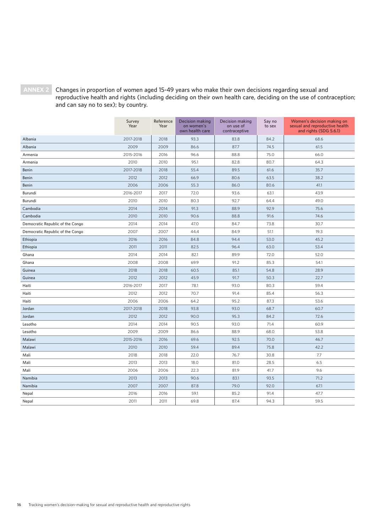**ANNEX 2 Changes in proportion of women aged 15-49 years who make their own decisions regarding sexual and reproductive health and rights (including deciding on their own health care, deciding on the use of contraception; and can say no to sex); by country.** 

|                                  | Survey<br>Year | Reference<br>Year | Decision making<br>on women's<br>own health care | Decision making<br>on use of<br>contraceptive | Say no<br>to sex | Women's decision making on<br>sexual and reproductive health<br>and rights (SDG 5.6.1) |
|----------------------------------|----------------|-------------------|--------------------------------------------------|-----------------------------------------------|------------------|----------------------------------------------------------------------------------------|
| Albania                          | 2017-2018      | 2018              | 93.3                                             | 83.8                                          | 84.2             | 68.6                                                                                   |
| Albania                          | 2009           | 2009              | 86.6                                             | 87.7                                          | 74.5             | 61.5                                                                                   |
| Armenia                          | 2015-2016      | 2016              | 96.6                                             | 88.8                                          | 75.0             | 66.0                                                                                   |
| Armenia                          | 2010           | 2010              | 95.1                                             | 82.8                                          | 80.7             | 64.3                                                                                   |
| Benin                            | 2017-2018      | 2018              | 55.4                                             | 89.5                                          | 61.6             | 35.7                                                                                   |
| Benin                            | 2012           | 2012              | 66.9                                             | 80.6                                          | 63.5             | 38.2                                                                                   |
| Benin                            | 2006           | 2006              | 55.3                                             | 86.0                                          | 80.6             | 41.1                                                                                   |
| Burundi                          | 2016-2017      | 2017              | 72.0                                             | 93.6                                          | 63.1             | 43.9                                                                                   |
| Burundi                          | 2010           | 2010              | 80.3                                             | 92.7                                          | 64.4             | 49.0                                                                                   |
| Cambodia                         | 2014           | 2014              | 91.3                                             | 88.9                                          | 92.9             | 75.6                                                                                   |
| Cambodia                         | 2010           | 2010              | 90.6                                             | 88.8                                          | 91.6             | 74.6                                                                                   |
| Democratic Republic of the Congo | 2014           | 2014              | 47.0                                             | 84.7                                          | 73.8             | 30.7                                                                                   |
| Democratic Republic of the Congo | 2007           | 2007              | 44.4                                             | 84.9                                          | 51.1             | 19.3                                                                                   |
| Ethiopia                         | 2016           | 2016              | 84.8                                             | 94.4                                          | 53.0             | 45.2                                                                                   |
| Ethiopia                         | 2011           | 2011              | 82.5                                             | 96.4                                          | 63.0             | 53.4                                                                                   |
| Ghana                            | 2014           | 2014              | 82.1                                             | 89.9                                          | 72.0             | 52.0                                                                                   |
| Ghana                            | 2008           | 2008              | 69.9                                             | 91.2                                          | 85.3             | 54.1                                                                                   |
| Guinea                           | 2018           | 2018              | 60.5                                             | 85.1                                          | 54.8             | 28.9                                                                                   |
| Guinea                           | 2012           | 2012              | 45.9                                             | 91.7                                          | 50.3             | 22.7                                                                                   |
| Haiti                            | 2016-2017      | 2017              | 78.1                                             | 93.0                                          | 80.3             | 59.4                                                                                   |
| Haiti                            | 2012           | 2012              | 70.7                                             | 91.4                                          | 85.4             | 56.3                                                                                   |
| Haiti                            | 2006           | 2006              | 64.2                                             | 95.2                                          | 87.3             | 53.6                                                                                   |
| Jordan                           | 2017-2018      | 2018              | 93.8                                             | 93.0                                          | 68.7             | 60.7                                                                                   |
| Jordan                           | 2012           | 2012              | 90.0                                             | 95.3                                          | 84.2             | 72.6                                                                                   |
| Lesotho                          | 2014           | 2014              | 90.5                                             | 93.0                                          | 71.4             | 60.9                                                                                   |
| Lesotho                          | 2009           | 2009              | 86.6                                             | 88.9                                          | 68.0             | 53.8                                                                                   |
| Malawi                           | 2015-2016      | 2016              | 69.6                                             | 92.5                                          | 70.0             | 46.7                                                                                   |
| Malawi                           | 2010           | 2010              | 59.4                                             | 89.4                                          | 75.8             | 42.2                                                                                   |
| Mali                             | 2018           | 2018              | 22.0                                             | 76.7                                          | 30.8             | 7.7                                                                                    |
| Mali                             | 2013           | 2013              | 18.0                                             | 81.0                                          | 28.5             | 6.5                                                                                    |
| Mali                             | 2006           | 2006              | 22.3                                             | 81.9                                          | 41.7             | 9.6                                                                                    |
| Namibia                          | 2013           | 2013              | 90.6                                             | 83.1                                          | 93.5             | 71.2                                                                                   |
| Namibia                          | 2007           | 2007              | 87.8                                             | 79.0                                          | 92.0             | 67.1                                                                                   |
| Nepal                            | 2016           | 2016              | 59.1                                             | 85.2                                          | 91.4             | 47.7                                                                                   |
| Nepal                            | 2011           | 2011              | 69.8                                             | 87.4                                          | 94.3             | 59.5                                                                                   |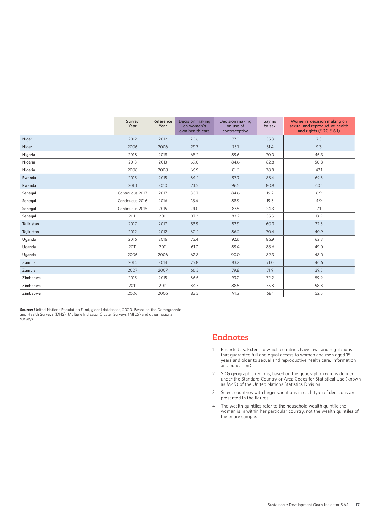|            | Survey<br>Year  | Reference<br>Year | <b>Decision making</b><br>on women's<br>own health care | Decision making<br>on use of<br>contraceptive | Say no<br>to sex | Women's decision making on<br>sexual and reproductive health<br>and rights (SDG 5.6.1) |
|------------|-----------------|-------------------|---------------------------------------------------------|-----------------------------------------------|------------------|----------------------------------------------------------------------------------------|
| Niger      | 2012            | 2012              | 20.6                                                    | 77.0                                          | 35.3             | 7.3                                                                                    |
| Niger      | 2006            | 2006              | 29.7                                                    | 75.1                                          | 31.4             | 9.3                                                                                    |
| Nigeria    | 2018            | 2018              | 68.2                                                    | 89.6                                          | 70.0             | 46.3                                                                                   |
| Nigeria    | 2013            | 2013              | 69.0                                                    | 84.6                                          | 82.8             | 50.8                                                                                   |
| Nigeria    | 2008            | 2008              | 66.9                                                    | 81.6                                          | 78.8             | 47.1                                                                                   |
| Rwanda     | 2015            | 2015              | 84.2                                                    | 97.9                                          | 83.4             | 69.5                                                                                   |
| Rwanda     | 2010            | 2010              | 74.5                                                    | 96.5                                          | 80.9             | 60.1                                                                                   |
| Senegal    | Continuous 2017 | 2017              | 30.7                                                    | 84.6                                          | 19.2             | 6.9                                                                                    |
| Senegal    | Continuous 2016 | 2016              | 18.6                                                    | 88.9                                          | 19.3             | 4.9                                                                                    |
| Senegal    | Continuous 2015 | 2015              | 24.0                                                    | 87.5                                          | 24.3             | 7.1                                                                                    |
| Senegal    | 2011            | 2011              | 37.2                                                    | 83.2                                          | 35.5             | 13.2                                                                                   |
| Tajikistan | 2017            | 2017              | 53.9                                                    | 82.9                                          | 60.3             | 32.5                                                                                   |
| Tajikistan | 2012            | 2012              | 60.2                                                    | 86.2                                          | 70.4             | 40.9                                                                                   |
| Uganda     | 2016            | 2016              | 75.4                                                    | 92.6                                          | 86.9             | 62.3                                                                                   |
| Uganda     | 2011            | 2011              | 61.7                                                    | 89.4                                          | 88.6             | 49.0                                                                                   |
| Uganda     | 2006            | 2006              | 62.8                                                    | 90.0                                          | 82.3             | 48.0                                                                                   |
| Zambia     | 2014            | 2014              | 75.8                                                    | 83.2                                          | 71.0             | 46.6                                                                                   |
| Zambia     | 2007            | 2007              | 66.5                                                    | 79.8                                          | 71.9             | 39.5                                                                                   |
| Zimbabwe   | 2015            | 2015              | 86.6                                                    | 93.2                                          | 72.2             | 59.9                                                                                   |
| Zimbabwe   | 2011            | 2011              | 84.5                                                    | 88.5                                          | 75.8             | 58.8                                                                                   |
| Zimbabwe   | 2006            | 2006              | 83.5                                                    | 91.5                                          | 68.1             | 52.5                                                                                   |

**Source:** United Nations Population Fund, global databases, 2020. Based on the Demographic<br>and Health Surveys (DHS), Multiple Indicator Cluster Surveys (MICS) and other national<br>surveys.

# Endnotes

- 1 Reported as: Extent to which countries have laws and regulations that guarantee full and equal access to women and men aged 15 years and older to sexual and reproductive health care, information and education).
- 2 SDG geographic regions, based on the geographic regions defined under the Standard Country or Area Codes for Statistical Use (known as M49) of the United Nations Statistics Division.
- 3 Select countries with larger variations in each type of decisions are presented in the figures.
- 4 The wealth quintiles refer to the household wealth quintile the woman is in within her particular country, not the wealth quintiles of the entire sample.